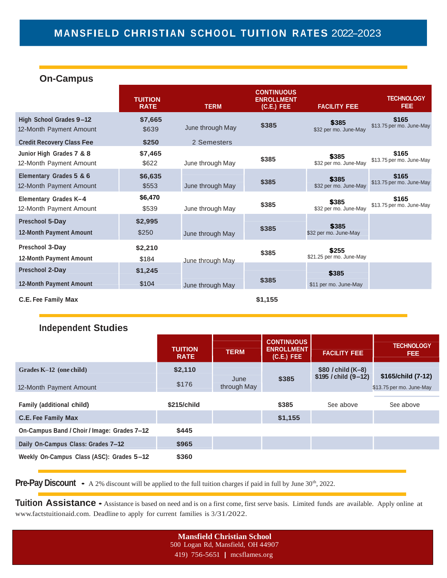# **MANSFIELD CHRISTIAN S CHOOL TUITI ON R ATES** 2022–2023

### **On-Campus**

|                                                          | <b>TUITION</b><br><b>RATE</b> | <b>TERM</b>      | <b>CONTINUOUS</b><br><b>ENROLLMENT</b><br>$(C.E.)$ FEE | <b>FACILITY FEE</b>               | <b>TECHNOLOGY</b><br><b>FEE</b>   |
|----------------------------------------------------------|-------------------------------|------------------|--------------------------------------------------------|-----------------------------------|-----------------------------------|
| High School Grades 9-12<br>12-Month Payment Amount       | \$7,665<br>\$639              | June through May | \$385                                                  | \$385<br>\$32 per mo. June-May    | \$165<br>\$13.75 per mo. June-May |
| <b>Credit Recovery Class Fee</b>                         | \$250                         | 2 Semesters      |                                                        |                                   |                                   |
| Junior High Grades 7 & 8<br>12-Month Payment Amount      | \$7,465<br>\$622              | June through May | \$385                                                  | \$385<br>\$32 per mo. June-May    | \$165<br>\$13.75 per mo. June-May |
| Elementary Grades 5 & 6<br>12-Month Payment Amount       | \$6,635<br>\$553              | June through May | \$385                                                  | \$385<br>\$32 per mo. June-May    | \$165<br>\$13.75 per mo. June-May |
| Elementary Grades K-4<br>12-Month Payment Amount         | \$6,470<br>\$539              | June through May | \$385                                                  | \$385<br>\$32 per mo. June-May    | \$165<br>\$13.75 per mo. June-May |
| Preschool 5-Day<br><b>12-Month Payment Amount</b>        | \$2,995<br>\$250              | June through May | \$385                                                  | \$385<br>\$32 per mo. June-May    |                                   |
| Preschool 3-Day<br><b>12-Month Payment Amount</b>        | \$2,210<br>\$184              | June through May | \$385                                                  | \$255<br>\$21.25 per mo. June-May |                                   |
| <b>Preschool 2-Day</b><br><b>12-Month Payment Amount</b> | \$1,245<br>\$104              | June through May | \$385                                                  | \$385<br>\$11 per mo. June-May    |                                   |
| <b>C.E. Fee Family Max</b>                               |                               |                  | \$1,155                                                |                                   |                                   |

### **Independent Studies**

|                                             | <b>TUITION</b><br><b>RATE</b> | <b>TERM</b> | <b>CONTINUOUS</b><br><b>ENROLLMENT</b><br>$(C.E.)$ FEE | <b>FACILITY FEE</b>                            | <b>TECHNOLOGY</b><br>FEE. |
|---------------------------------------------|-------------------------------|-------------|--------------------------------------------------------|------------------------------------------------|---------------------------|
| Grades K-12 (one child)                     | \$2,110                       | June        | \$385                                                  | $$80$ / child (K-8)<br>$$195$ / child $(9-12)$ | \$165/child (7-12)        |
| 12-Month Payment Amount                     | \$176                         | through May |                                                        |                                                | \$13.75 per mo. June-May  |
| <b>Family (additional child)</b>            | \$215/child                   |             | \$385                                                  | See above                                      | See above                 |
| <b>C.E. Fee Family Max</b>                  |                               |             | \$1,155                                                |                                                |                           |
| On-Campus Band / Choir / Image: Grades 7-12 | \$445                         |             |                                                        |                                                |                           |
| Daily On-Campus Class: Grades 7-12          | \$965                         |             |                                                        |                                                |                           |
| Weekly On-Campus Class (ASC): Grades 5-12   | \$360                         |             |                                                        |                                                |                           |

**Pre-Pay Discount** • A 2% discount will be applied to the full tuition charges if paid in full by June 30<sup>th</sup>, 2022.

**Tuition Assistance** • Assistance is based on need and is on <sup>a</sup> first come, first serve basis. Limited funds are available. Apply online at [www.factstuitionaid.com.](http://www.factstuitionaid.com/) Deadline to apply for current families is 3/31/2022.

> **Mansfield Christian School** 500 Logan Rd, Mansfield, OH 44907 419) 756-5651 | mcsflames.org